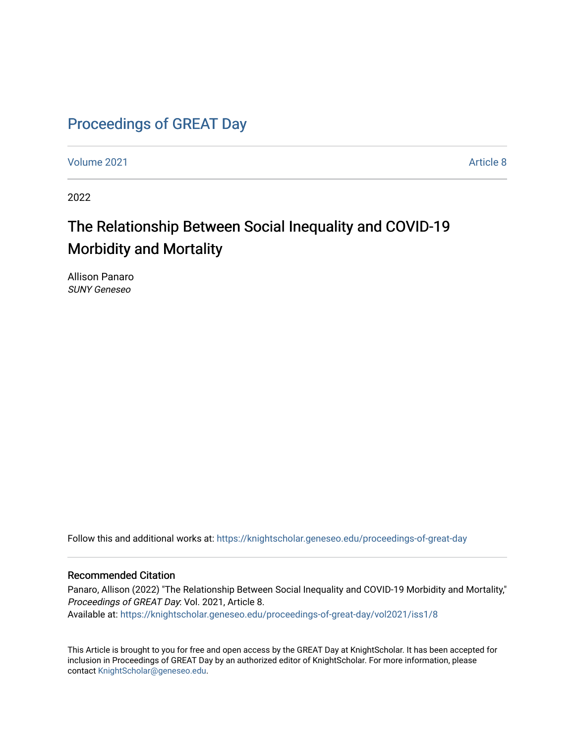# [Proceedings of GREAT Day](https://knightscholar.geneseo.edu/proceedings-of-great-day)

[Volume 2021](https://knightscholar.geneseo.edu/proceedings-of-great-day/vol2021) **Article 8** Article 8

2022

# The Relationship Between Social Inequality and COVID-19 Morbidity and Mortality

Allison Panaro SUNY Geneseo

Follow this and additional works at: [https://knightscholar.geneseo.edu/proceedings-of-great-day](https://knightscholar.geneseo.edu/proceedings-of-great-day?utm_source=knightscholar.geneseo.edu%2Fproceedings-of-great-day%2Fvol2021%2Fiss1%2F8&utm_medium=PDF&utm_campaign=PDFCoverPages) 

#### Recommended Citation

Panaro, Allison (2022) "The Relationship Between Social Inequality and COVID-19 Morbidity and Mortality," Proceedings of GREAT Day: Vol. 2021, Article 8. Available at: [https://knightscholar.geneseo.edu/proceedings-of-great-day/vol2021/iss1/8](https://knightscholar.geneseo.edu/proceedings-of-great-day/vol2021/iss1/8?utm_source=knightscholar.geneseo.edu%2Fproceedings-of-great-day%2Fvol2021%2Fiss1%2F8&utm_medium=PDF&utm_campaign=PDFCoverPages) 

This Article is brought to you for free and open access by the GREAT Day at KnightScholar. It has been accepted for inclusion in Proceedings of GREAT Day by an authorized editor of KnightScholar. For more information, please contact [KnightScholar@geneseo.edu.](mailto:KnightScholar@geneseo.edu)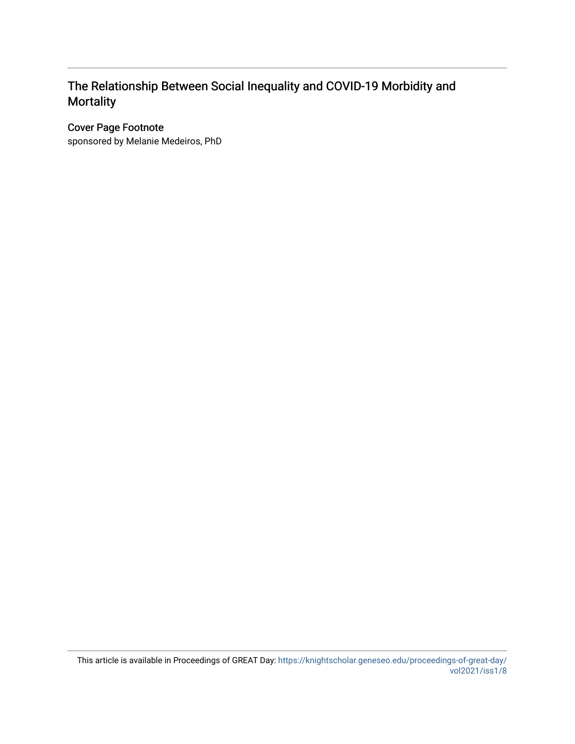## The Relationship Between Social Inequality and COVID-19 Morbidity and **Mortality**

#### Cover Page Footnote

sponsored by Melanie Medeiros, PhD

This article is available in Proceedings of GREAT Day: [https://knightscholar.geneseo.edu/proceedings-of-great-day/](https://knightscholar.geneseo.edu/proceedings-of-great-day/vol2021/iss1/8) [vol2021/iss1/8](https://knightscholar.geneseo.edu/proceedings-of-great-day/vol2021/iss1/8)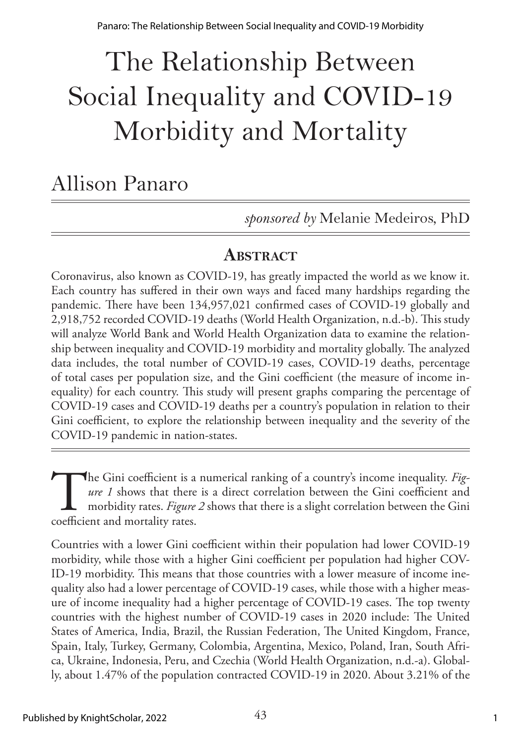# The Relationship Between Social Inequality and COVID-19 Morbidity and Mortality

# Allison Panaro

*sponsored by* Melanie Medeiros, PhD

## **ABSTRACT**

Coronavirus, also known as COVID-19, has greatly impacted the world as we know it. Each country has suffered in their own ways and faced many hardships regarding the pandemic. There have been 134,957,021 confirmed cases of COVID-19 globally and 2,918,752 recorded COVID-19 deaths (World Health Organization, n.d.-b). This study will analyze World Bank and World Health Organization data to examine the relationship between inequality and COVID-19 morbidity and mortality globally. The analyzed data includes, the total number of COVID-19 cases, COVID-19 deaths, percentage of total cases per population size, and the Gini coefficient (the measure of income inequality) for each country. This study will present graphs comparing the percentage of COVID-19 cases and COVID-19 deaths per a country's population in relation to their Gini coefficient, to explore the relationship between inequality and the severity of the COVID-19 pandemic in nation-states.

The Gini coefficient is a numerical ranking of a country's income inequality. *Fig-*<br> *ure 1* shows that there is a direct correlation between the Gini coefficient and<br>
morbidity rates. *Figure 2* shows that there is a sli *ure 1* shows that there is a direct correlation between the Gini coefficient and morbidity rates. *Figure 2* shows that there is a slight correlation between the Gini coefficient and mortality rates.

Countries with a lower Gini coefficient within their population had lower COVID-19 morbidity, while those with a higher Gini coefficient per population had higher COV-ID-19 morbidity. This means that those countries with a lower measure of income inequality also had a lower percentage of COVID-19 cases, while those with a higher measure of income inequality had a higher percentage of COVID-19 cases. The top twenty countries with the highest number of COVID-19 cases in 2020 include: The United States of America, India, Brazil, the Russian Federation, The United Kingdom, France, Spain, Italy, Turkey, Germany, Colombia, Argentina, Mexico, Poland, Iran, South Africa, Ukraine, Indonesia, Peru, and Czechia (World Health Organization, n.d.-a). Globally, about 1.47% of the population contracted COVID-19 in 2020. About 3.21% of the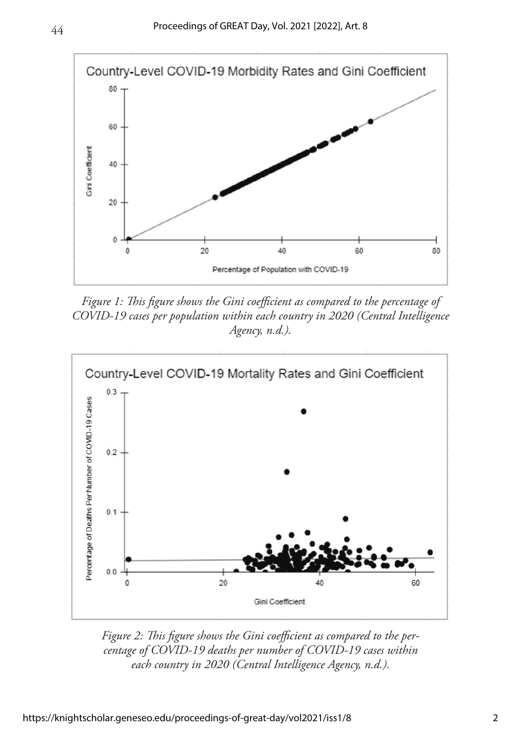44



*Figure 1: This figure shows the Gini coefficient as compared to the percentage of COVID-19 cases per population within each country in 2020 (Central Intelligence Agency, n.d.).*



*Figure 2: This figure shows the Gini coefficient as compared to the percentage of COVID-19 deaths per number of COVID-19 cases within each country in 2020 (Central Intelligence Agency, n.d.).*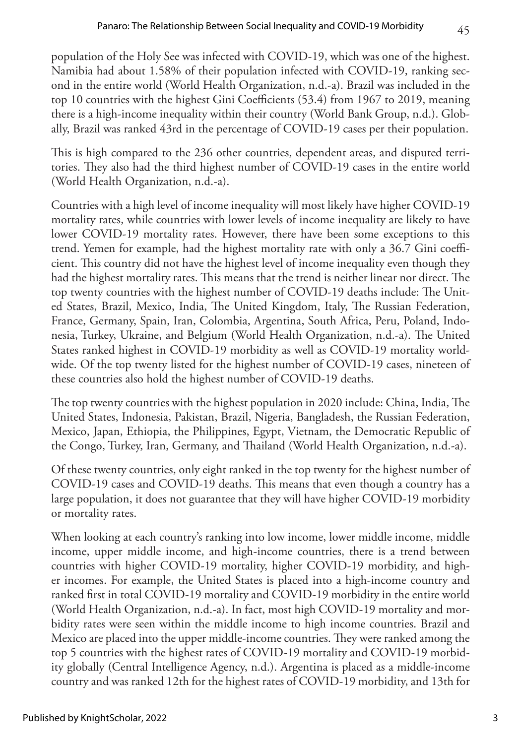population of the Holy See was infected with COVID-19, which was one of the highest. Namibia had about 1.58% of their population infected with COVID-19, ranking second in the entire world (World Health Organization, n.d.-a). Brazil was included in the top 10 countries with the highest Gini Coefficients (53.4) from 1967 to 2019, meaning there is a high-income inequality within their country (World Bank Group, n.d.). Globally, Brazil was ranked 43rd in the percentage of COVID-19 cases per their population.

This is high compared to the 236 other countries, dependent areas, and disputed territories. They also had the third highest number of COVID-19 cases in the entire world (World Health Organization, n.d.-a).

Countries with a high level of income inequality will most likely have higher COVID-19 mortality rates, while countries with lower levels of income inequality are likely to have lower COVID-19 mortality rates. However, there have been some exceptions to this trend. Yemen for example, had the highest mortality rate with only a 36.7 Gini coefficient. This country did not have the highest level of income inequality even though they had the highest mortality rates. This means that the trend is neither linear nor direct. The top twenty countries with the highest number of COVID-19 deaths include: The United States, Brazil, Mexico, India, The United Kingdom, Italy, The Russian Federation, France, Germany, Spain, Iran, Colombia, Argentina, South Africa, Peru, Poland, Indonesia, Turkey, Ukraine, and Belgium (World Health Organization, n.d.-a). The United States ranked highest in COVID-19 morbidity as well as COVID-19 mortality worldwide. Of the top twenty listed for the highest number of COVID-19 cases, nineteen of these countries also hold the highest number of COVID-19 deaths.

The top twenty countries with the highest population in 2020 include: China, India, The United States, Indonesia, Pakistan, Brazil, Nigeria, Bangladesh, the Russian Federation, Mexico, Japan, Ethiopia, the Philippines, Egypt, Vietnam, the Democratic Republic of the Congo, Turkey, Iran, Germany, and Thailand (World Health Organization, n.d.-a).

Of these twenty countries, only eight ranked in the top twenty for the highest number of COVID-19 cases and COVID-19 deaths. This means that even though a country has a large population, it does not guarantee that they will have higher COVID-19 morbidity or mortality rates.

When looking at each country's ranking into low income, lower middle income, middle income, upper middle income, and high-income countries, there is a trend between countries with higher COVID-19 mortality, higher COVID-19 morbidity, and higher incomes. For example, the United States is placed into a high-income country and ranked first in total COVID-19 mortality and COVID-19 morbidity in the entire world (World Health Organization, n.d.-a). In fact, most high COVID-19 mortality and morbidity rates were seen within the middle income to high income countries. Brazil and Mexico are placed into the upper middle-income countries. They were ranked among the top 5 countries with the highest rates of COVID-19 mortality and COVID-19 morbidity globally (Central Intelligence Agency, n.d.). Argentina is placed as a middle-income country and was ranked 12th for the highest rates of COVID-19 morbidity, and 13th for